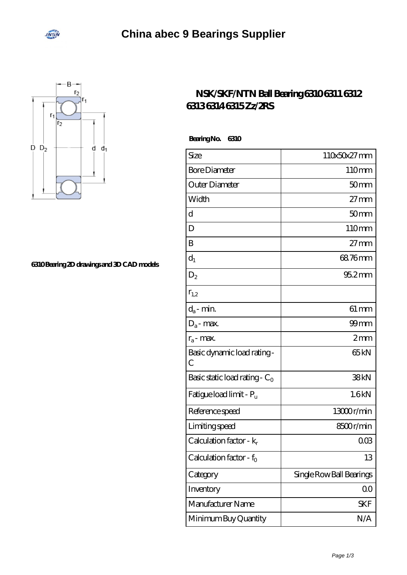



## **[6310 Bearing 2D drawings and 3D CAD models](https://onlinedegreenavigator.org/pic-664970.html)**

## **[NSK/SKF/NTN Ball Bearing 6310 6311 6312](https://onlinedegreenavigator.org/skf-6310-bearing/) [6313 6314 6315 Zz/2RS](https://onlinedegreenavigator.org/skf-6310-bearing/)**

 **Bearing No. 6310**

| Size                             | 110x50x27mm              |
|----------------------------------|--------------------------|
| <b>Bore Diameter</b>             | 110mm                    |
| Outer Diameter                   | 50 <sub>mm</sub>         |
| Width                            | $27 \text{mm}$           |
| d                                | 50 <sub>mm</sub>         |
| D                                | 110mm                    |
| B                                | $27 \text{mm}$           |
| $d_1$                            | 68.76mm                  |
| $D_2$                            | $952$ mm                 |
| $r_{1,2}$                        |                          |
| $d_a$ - min.                     | $61 \, \text{mm}$        |
| $D_a$ - max.                     | $99$ mm                  |
| $r_a$ - max.                     | 2mm                      |
| Basic dynamic load rating-<br>C  | 65 <sub>kN</sub>         |
| Basic static load rating - $C_0$ | 38kN                     |
| Fatigue load limit - $P_u$       | 1.6kN                    |
| Reference speed                  | 13000r/min               |
| Limiting speed                   | 8500r/min                |
| Calculation factor - $k_r$       | $00\Omega$               |
| Calculation factor - $f_0$       | 13                       |
| Category                         | Single Row Ball Bearings |
| Inventory                        | 0 <sup>0</sup>           |
| Manufacturer Name                | <b>SKF</b>               |
| Minimum Buy Quantity             | N/A                      |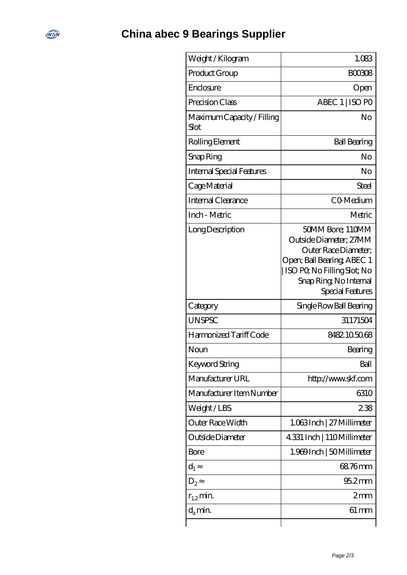## **[China abec 9 Bearings Supplier](https://onlinedegreenavigator.org)**

**INEW** 

| Weight /Kilogram                   | 1.083                                                                                                                                                                         |
|------------------------------------|-------------------------------------------------------------------------------------------------------------------------------------------------------------------------------|
| Product Group                      | BOO3O8                                                                                                                                                                        |
| Enclosure                          | Open                                                                                                                                                                          |
| Precision Class                    | ABEC 1   ISO PO                                                                                                                                                               |
| Maximum Capacity / Filling<br>Slot | No                                                                                                                                                                            |
| Rolling Element                    | <b>Ball Bearing</b>                                                                                                                                                           |
| Snap Ring                          | No                                                                                                                                                                            |
| Internal Special Features          | No                                                                                                                                                                            |
| Cage Material                      | Steel                                                                                                                                                                         |
| <b>Internal Clearance</b>          | CO-Medium                                                                                                                                                                     |
| Inch - Metric                      | Metric                                                                                                                                                                        |
| Long Description                   | 50MM Bore; 110MM<br>Outside Diameter: 27MM<br>Outer Race Diameter;<br>Open; Ball Bearing; ABEC 1<br>ISO PO, No Filling Slot; No<br>Snap Ring, No Internal<br>Special Features |
| Category                           | Single Row Ball Bearing                                                                                                                                                       |
| <b>UNSPSC</b>                      | 31171504                                                                                                                                                                      |
| Harmonized Tariff Code             | 8482.105068                                                                                                                                                                   |
| Noun                               | Bearing                                                                                                                                                                       |
| <b>Keyword String</b>              | Ball                                                                                                                                                                          |
| Manufacturer URL                   | http://www.skf.com                                                                                                                                                            |
| Manufacturer Item Number           | 6310                                                                                                                                                                          |
| Weight/LBS                         | 238                                                                                                                                                                           |
| Outer Race Width                   | 1.063Inch   27 Millimeter                                                                                                                                                     |
| Outside Diameter                   | 4.331 Inch   110Millimeter                                                                                                                                                    |
| Bore                               | 1.969 Inch   50 Millimeter                                                                                                                                                    |
| $d_1$                              | 68.76mm                                                                                                                                                                       |
| D <sub>2</sub>                     | $952$ mm                                                                                                                                                                      |
| $r_{1,2}$ min.                     | 2mm                                                                                                                                                                           |
| $d_{a}$ min.                       | $61 \,\mathrm{mm}$                                                                                                                                                            |
|                                    |                                                                                                                                                                               |